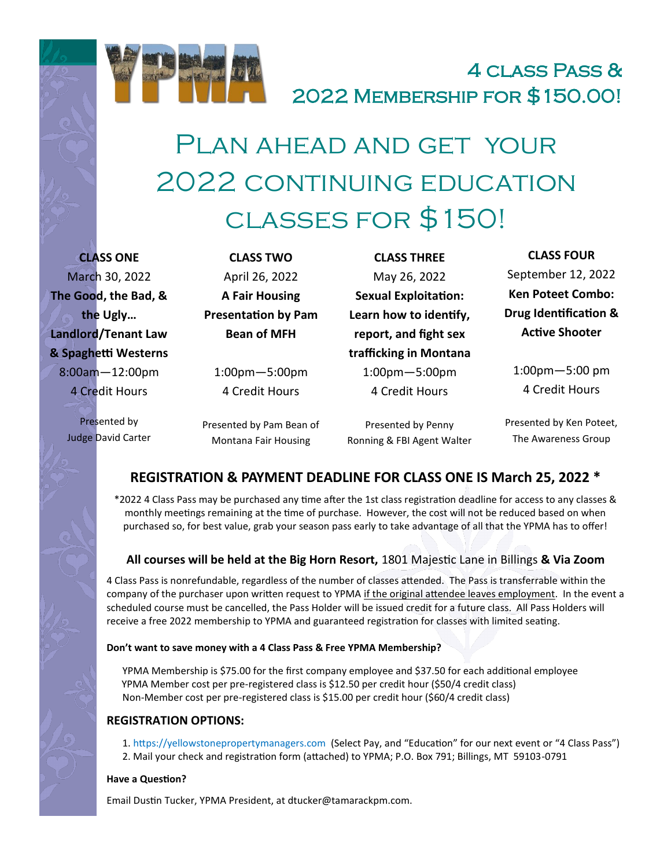

# 4 class Pass & 2022 Membership for \$150.00!

# Plan ahead and get your 2022 CONTINUING EDUCATION classes for \$150!

**CLASS ONE** March 30, 2022 **The Good, the Bad, & the Ugly… Landlord/Tenant Law & Spaghetti Westerns** 8:00am—12:00pm 4 Credit Hours

> Presented by Judge David Carter

**CLASS TWO** April 26, 2022 **A Fair Housing Presentation by Pam Bean of MFH**

1:00pm—5:00pm 4 Credit Hours

Presented by Pam Bean of Montana Fair Housing

**CLASS THREE** May 26, 2022 **Sexual Exploitation: Learn how to identify, report, and fight sex trafficking in Montana** 1:00pm—5:00pm 4 Credit Hours

Presented by Penny Ronning & FBI Agent Walter

**CLASS FOUR** September 12, 2022 **Ken Poteet Combo: Drug Identification & Active Shooter**

1:00pm—5:00 pm 4 Credit Hours

Presented by Ken Poteet, The Awareness Group

### **REGISTRATION & PAYMENT DEADLINE FOR CLASS ONE IS March 25, 2022 \***

\*2022 4 Class Pass may be purchased any time after the 1st class registration deadline for access to any classes & monthly meetings remaining at the time of purchase. However, the cost will not be reduced based on when purchased so, for best value, grab your season pass early to take advantage of all that the YPMA has to offer!

#### **All courses will be held at the Big Horn Resort,** 1801 Majestic Lane in Billings **& Via Zoom**

4 Class Pass is nonrefundable, regardless of the number of classes attended. The Pass is transferrable within the company of the purchaser upon written request to YPMA if the original attendee leaves employment. In the event a scheduled course must be cancelled, the Pass Holder will be issued credit for a future class. All Pass Holders will receive a free 2022 membership to YPMA and guaranteed registration for classes with limited seating.

#### **Don't want to save money with a 4 Class Pass & Free YPMA Membership?**

YPMA Membership is \$75.00 for the first company employee and \$37.50 for each additional employee YPMA Member cost per pre-registered class is \$12.50 per credit hour (\$50/4 credit class) Non-Member cost per pre-registered class is \$15.00 per credit hour (\$60/4 credit class)

#### **REGISTRATION OPTIONS:**

1. https://yellowstonepropertymanagers.com (Select Pay, and "Education" for our next event or "4 Class Pass") 2. Mail your check and registration form (attached) to YPMA; P.O. Box 791; Billings, MT 59103-0791

#### **Have a Question?**

Email Dustin Tucker, YPMA President, at dtucker@tamarackpm.com.